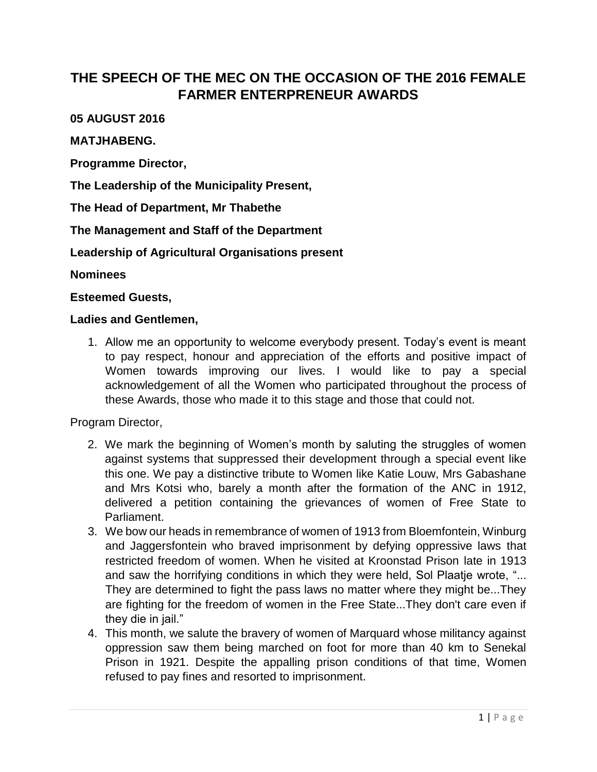# **THE SPEECH OF THE MEC ON THE OCCASION OF THE 2016 FEMALE FARMER ENTERPRENEUR AWARDS**

### **05 AUGUST 2016**

#### **MATJHABENG.**

**Programme Director,**

**The Leadership of the Municipality Present,**

**The Head of Department, Mr Thabethe**

**The Management and Staff of the Department**

**Leadership of Agricultural Organisations present**

**Nominees**

**Esteemed Guests,**

#### **Ladies and Gentlemen,**

1. Allow me an opportunity to welcome everybody present. Today's event is meant to pay respect, honour and appreciation of the efforts and positive impact of Women towards improving our lives. I would like to pay a special acknowledgement of all the Women who participated throughout the process of these Awards, those who made it to this stage and those that could not.

Program Director,

- 2. We mark the beginning of Women's month by saluting the struggles of women against systems that suppressed their development through a special event like this one. We pay a distinctive tribute to Women like Katie Louw, Mrs Gabashane and Mrs Kotsi who, barely a month after the formation of the ANC in 1912, delivered a petition containing the grievances of women of Free State to Parliament.
- 3. We bow our heads in remembrance of women of 1913 from Bloemfontein, Winburg and Jaggersfontein who braved imprisonment by defying oppressive laws that restricted freedom of women. When he visited at Kroonstad Prison late in 1913 and saw the horrifying conditions in which they were held, Sol Plaatje wrote, "... They are determined to fight the pass laws no matter where they might be...They are fighting for the freedom of women in the Free State...They don't care even if they die in jail."
- 4. This month, we salute the bravery of women of Marquard whose militancy against oppression saw them being marched on foot for more than 40 km to Senekal Prison in 1921. Despite the appalling prison conditions of that time, Women refused to pay fines and resorted to imprisonment.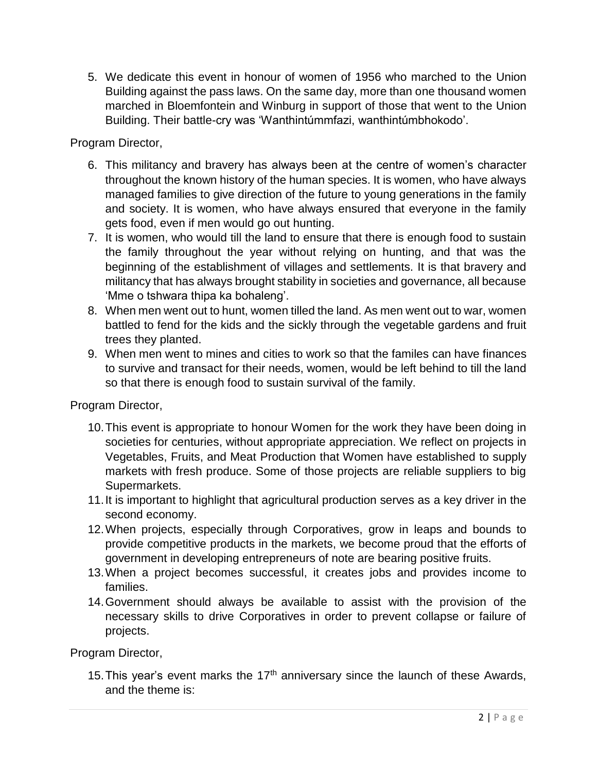5. We dedicate this event in honour of women of 1956 who marched to the Union Building against the pass laws. On the same day, more than one thousand women marched in Bloemfontein and Winburg in support of those that went to the Union Building. Their battle-cry was 'Wanthintúmmfazi, wanthintúmbhokodo'.

Program Director,

- 6. This militancy and bravery has always been at the centre of women's character throughout the known history of the human species. It is women, who have always managed families to give direction of the future to young generations in the family and society. It is women, who have always ensured that everyone in the family gets food, even if men would go out hunting.
- 7. It is women, who would till the land to ensure that there is enough food to sustain the family throughout the year without relying on hunting, and that was the beginning of the establishment of villages and settlements. It is that bravery and militancy that has always brought stability in societies and governance, all because 'Mme o tshwara thipa ka bohaleng'.
- 8. When men went out to hunt, women tilled the land. As men went out to war, women battled to fend for the kids and the sickly through the vegetable gardens and fruit trees they planted.
- 9. When men went to mines and cities to work so that the familes can have finances to survive and transact for their needs, women, would be left behind to till the land so that there is enough food to sustain survival of the family.

Program Director,

- 10.This event is appropriate to honour Women for the work they have been doing in societies for centuries, without appropriate appreciation. We reflect on projects in Vegetables, Fruits, and Meat Production that Women have established to supply markets with fresh produce. Some of those projects are reliable suppliers to big Supermarkets.
- 11.It is important to highlight that agricultural production serves as a key driver in the second economy.
- 12.When projects, especially through Corporatives, grow in leaps and bounds to provide competitive products in the markets, we become proud that the efforts of government in developing entrepreneurs of note are bearing positive fruits.
- 13.When a project becomes successful, it creates jobs and provides income to families.
- 14.Government should always be available to assist with the provision of the necessary skills to drive Corporatives in order to prevent collapse or failure of projects.

Program Director,

15. This year's event marks the  $17<sup>th</sup>$  anniversary since the launch of these Awards, and the theme is: